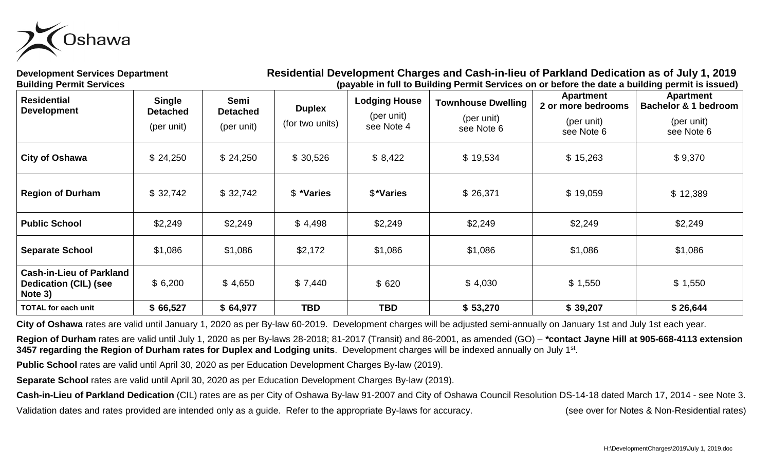

**Development Services Department Building Permit Services**

## **Residential Development Charges and Cash-in-lieu of Parkland Dedication as of July 1, 2019 (payable in full to Building Permit Services on or before the date a building permit is issued)**

| <b>Residential</b><br><b>Development</b>                                   | <b>Single</b><br><b>Detached</b><br>(per unit) | Semi<br><b>Detached</b><br>(per unit) | <b>Duplex</b><br>(for two units) | $V^{\text{max}}$ and the state of $\mathcal{L}^{\text{max}}$ and $\mathcal{L}^{\text{max}}$<br><b>Lodging House</b><br>(per unit)<br>see Note 4 | <u>a - ------ - - - - - - - - - - - - - </u><br><b>Townhouse Dwelling</b><br>(per unit)<br>see Note 6 | <b>Apartment</b><br>2 or more bedrooms<br>(per unit)<br>see Note 6 | <b>Apartment</b><br>Bachelor & 1 bedroom<br>(per unit)<br>see Note 6 |
|----------------------------------------------------------------------------|------------------------------------------------|---------------------------------------|----------------------------------|-------------------------------------------------------------------------------------------------------------------------------------------------|-------------------------------------------------------------------------------------------------------|--------------------------------------------------------------------|----------------------------------------------------------------------|
| <b>City of Oshawa</b>                                                      | \$24,250                                       | \$24,250                              | \$30,526                         | \$8,422                                                                                                                                         | \$19,534                                                                                              | \$15,263                                                           | \$9,370                                                              |
| <b>Region of Durham</b>                                                    | \$32,742                                       | \$32,742                              | \$ *Varies                       | \$*Varies                                                                                                                                       | \$26,371                                                                                              | \$19,059                                                           | \$12,389                                                             |
| <b>Public School</b>                                                       | \$2,249                                        | \$2,249                               | \$4,498                          | \$2,249                                                                                                                                         | \$2,249                                                                                               | \$2,249                                                            | \$2,249                                                              |
| <b>Separate School</b>                                                     | \$1,086                                        | \$1,086                               | \$2,172                          | \$1,086                                                                                                                                         | \$1,086                                                                                               | \$1,086                                                            | \$1,086                                                              |
| <b>Cash-in-Lieu of Parkland</b><br><b>Dedication (CIL) (see</b><br>Note 3) | \$6,200                                        | \$4,650                               | \$7,440                          | \$620                                                                                                                                           | \$4,030                                                                                               | \$1,550                                                            | \$1,550                                                              |
| <b>TOTAL for each unit</b>                                                 | \$66,527                                       | \$64,977                              | <b>TBD</b>                       | TBD                                                                                                                                             | \$53,270                                                                                              | \$39,207                                                           | \$26,644                                                             |

**City of Oshawa** rates are valid until January 1, 2020 as per By-law 60-2019. Development charges will be adjusted semi-annually on January 1st and July 1st each year.

**Region of Durham** rates are valid until July 1, 2020 as per By-laws 28-2018; 81-2017 (Transit) and 86-2001, as amended (GO) – *\****contact Jayne Hill at 905-668-4113 extension 3457 regarding the Region of Durham rates for Duplex and Lodging units**. Development charges will be indexed annually on July 1<sup>st</sup>.

**Public School** rates are valid until April 30, 2020 as per Education Development Charges By-law (2019).

**Separate School** rates are valid until April 30, 2020 as per Education Development Charges By-law (2019).

**Cash-in-Lieu of Parkland Dedication** (CIL) rates are as per City of Oshawa By-law 91-2007 and City of Oshawa Council Resolution DS-14-18 dated March 17, 2014 - see Note 3. Validation dates and rates provided are intended only as a guide. Refer to the appropriate By-laws for accuracy. (see over for Notes & Non-Residential rates)